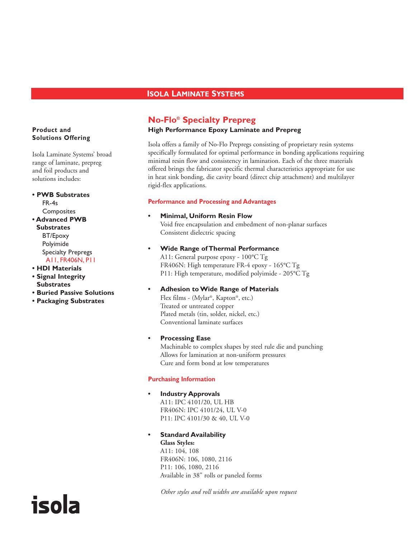# **ISOLA LAMINATE SYSTEMS**

## **No-Flo® Specialty Prepreg**

#### **High Performance Epoxy Laminate and Prepreg**

Isola offers a family of No-Flo Prepregs consisting of proprietary resin systems specifically formulated for optimal performance in bonding applications requiring minimal resin flow and consistency in lamination. Each of the three materials offered brings the fabricator specific thermal characteristics appropriate for use in heat sink bonding, die cavity board (direct chip attachment) and multilayer rigid-flex applications.

#### **Performance and Processing and Advantages**

#### **• Minimal, Uniform Resin Flow**

Void free encapsulation and embedment of non-planar surfaces Consistent dielectric spacing

**• Wide Range of Thermal Performance** A11: General purpose epoxy - 100°C Tg FR406N: High temperature FR-4 epoxy - 165°C Tg P11: High temperature, modified polyimide - 205°C Tg

## **• Adhesion to Wide Range of Materials**

Flex films - (Mylar®, Kapton®, etc.) Treated or untreated copper Plated metals (tin, solder, nickel, etc.) Conventional laminate surfaces

## **• Processing Ease**

Machinable to complex shapes by steel rule die and punching Allows for lamination at non-uniform pressures Cure and form bond at low temperatures

## **Purchasing Information**

- **Industry Approvals** A11: IPC 4101/20, UL HB FR406N: IPC 4101/24, UL V-0 P11: IPC 4101/30 & 40, UL V-0
- **Standard Availability Glass Styles:** A11: 104, 108 FR406N: 106, 1080, 2116 P11: 106, 1080, 2116 Available in 38" rolls or paneled forms

*Other styles and roll widths are available upon request*

## **Product and Solutions Offering**

Isola Laminate Systems' broad range of laminate, prepreg and foil products and solutions includes:

**• PWB Substrates**  FR-4s **Composites • Advanced PWB Substrates**

BT/Epoxy Polyimide Specialty Prepregs A11, FR406N, P11

# **• HDI Materials**

- **Signal Integrity Substrates**
- **Buried Passive Solutions**
- **Packaging Substrates**

# isola